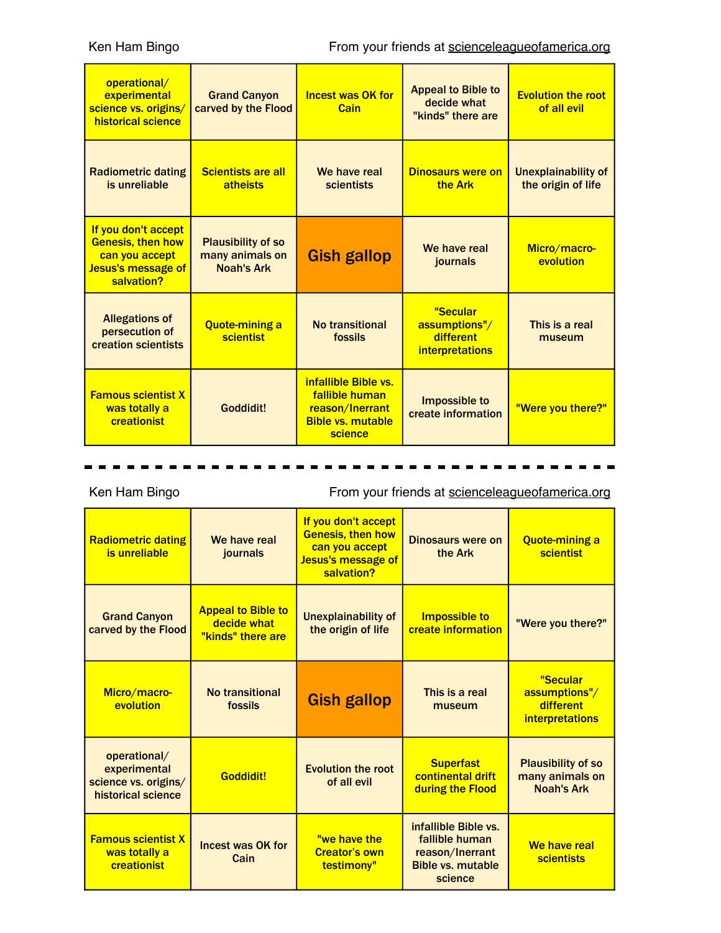| operational/<br>experimental<br>science vs. origins/<br>historical science                                   | <b>Grand Canyon</b><br>carved by the Flood                        | <b>Incest was OK for</b><br>Cain                                                                 | <b>Appeal to Bible to</b><br>decide what<br>"kinds" there are    | <b>Evolution the root</b><br>of all evil  |
|--------------------------------------------------------------------------------------------------------------|-------------------------------------------------------------------|--------------------------------------------------------------------------------------------------|------------------------------------------------------------------|-------------------------------------------|
| <b>Radiometric dating</b><br>is unreliable                                                                   | <b>Scientists are all</b><br>atheists                             | We have real<br>scientists                                                                       | <b>Dinosaurs were on</b><br>the Ark                              | Unexplainability of<br>the origin of life |
| If you don't accept<br><b>Genesis, then how</b><br>can you accept<br><b>Jesus's message of</b><br>salvation? | <b>Plausibility of so</b><br>many animals on<br><b>Noah's Ark</b> | <b>Gish gallop</b>                                                                               | We have real<br>journals                                         | Micro/macro-<br>evolution                 |
| <b>Allegations of</b><br>persecution of<br><b>creation scientists</b>                                        | <b>Quote-mining a</b><br>scientist                                | <b>No transitional</b><br>fossils                                                                | "Secular<br>assumptions"/<br>different<br><i>interpretations</i> | This is a real<br>museum                  |
| <b>Famous scientist X</b><br>was totally a<br>creationist                                                    | Goddidit!                                                         | infallible Bible vs.<br>fallible human<br>reason/Inerrant<br><b>Bible vs. mutable</b><br>science | Impossible to<br>create information                              | "Were you there?"                         |

Ken Ham Bingo **From your friends** at [scienceleagueofamerica.org](http://scienceleagueofamerica.org)

| <b>Radiometric dating</b><br>is unreliable                                 | We have real<br>journals                                      | If you don't accept<br><b>Genesis, then how</b><br>can you accept<br><b>Jesus's message of</b><br>salvation? | Dinosaurs were on<br>the Ark                                                                     | <b>Quote-mining a</b><br>scientist                                |
|----------------------------------------------------------------------------|---------------------------------------------------------------|--------------------------------------------------------------------------------------------------------------|--------------------------------------------------------------------------------------------------|-------------------------------------------------------------------|
| <b>Grand Canyon</b><br>carved by the Flood                                 | <b>Appeal to Bible to</b><br>decide what<br>"kinds" there are | <b>Unexplainability of</b><br>the origin of life                                                             | <b>Impossible to</b><br>create information                                                       | "Were you there?"                                                 |
| Micro/macro-<br>evolution                                                  | No transitional<br>fossils                                    | <b>Gish gallop</b>                                                                                           | This is a real<br>museum                                                                         | "Secular<br>assumptions"/<br>different<br><i>interpretations</i>  |
| operational/<br>experimental<br>science vs. origins/<br>historical science | Goddidit!                                                     | <b>Evolution the root</b><br>of all evil                                                                     | <b>Superfast</b><br>continental drift<br>during the Flood                                        | <b>Plausibility of so</b><br>many animals on<br><b>Noah's Ark</b> |
| <b>Famous scientist X</b><br>was totally a<br>creationist                  | <b>Incest was OK for</b><br>Cain                              | "we have the<br><b>Creator's own</b><br>testimony"                                                           | infallible Bible vs.<br>fallible human<br>reason/Inerrant<br><b>Bible vs. mutable</b><br>science | We have real<br>scientists                                        |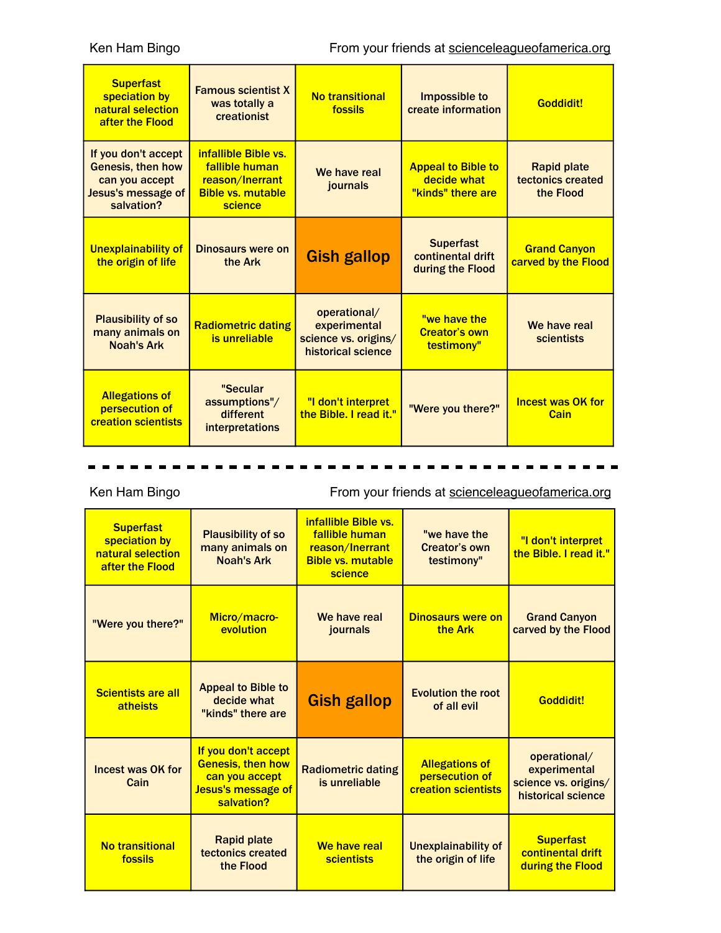| <b>Superfast</b><br>speciation by<br>natural selection<br>after the Flood                                    | <b>Famous scientist X</b><br>was totally a<br>creationist                                        | <b>No transitional</b><br>fossils                                          | Impossible to<br>create information                           | <b>Goddidit!</b>                                     |
|--------------------------------------------------------------------------------------------------------------|--------------------------------------------------------------------------------------------------|----------------------------------------------------------------------------|---------------------------------------------------------------|------------------------------------------------------|
| If you don't accept<br><b>Genesis, then how</b><br>can you accept<br><b>Jesus's message of</b><br>salvation? | infallible Bible vs.<br>fallible human<br>reason/Inerrant<br><b>Bible vs. mutable</b><br>science | We have real<br>journals                                                   | <b>Appeal to Bible to</b><br>decide what<br>"kinds" there are | <b>Rapid plate</b><br>tectonics created<br>the Flood |
| <b>Unexplainability of</b><br>the origin of life                                                             | Dinosaurs were on<br>the Ark                                                                     | Gish gallop                                                                | <b>Superfast</b><br>continental drift<br>during the Flood     | <b>Grand Canyon</b><br>carved by the Flood           |
| <b>Plausibility of so</b><br>many animals on<br><b>Noah's Ark</b>                                            | <b>Radiometric dating</b><br>is unreliable                                                       | operational/<br>experimental<br>science vs. origins/<br>historical science | "we have the<br><b>Creator's own</b><br>testimony"            | We have real<br>scientists                           |
| <b>Allegations of</b><br>persecution of<br><b>creation scientists</b>                                        | "Secular<br>assumptions"/<br>different<br>interpretations                                        | "I don't interpret<br>the Bible. I read it."                               | "Were you there?"                                             | <b>Incest was OK for</b><br>Cain                     |

Ken Ham Bingo **From your friends** at scienceleagueofamerica.org

| <b>Superfast</b><br>speciation by<br>natural selection<br>after the Flood | <b>Plausibility of so</b><br>many animals on<br><b>Noah's Ark</b>                                            | infallible Bible vs.<br>fallible human<br>reason/Inerrant<br><b>Bible vs. mutable</b><br>science | "we have the<br>Creator's own<br>testimony"                           | "I don't interpret<br>the Bible. I read it."                               |
|---------------------------------------------------------------------------|--------------------------------------------------------------------------------------------------------------|--------------------------------------------------------------------------------------------------|-----------------------------------------------------------------------|----------------------------------------------------------------------------|
| "Were you there?"                                                         | Micro/macro-<br>evolution                                                                                    | We have real<br>journals                                                                         | <b>Dinosaurs were on</b><br>the Ark                                   | <b>Grand Canyon</b><br>carved by the Flood                                 |
| <b>Scientists are all</b><br><b>atheists</b>                              | <b>Appeal to Bible to</b><br>decide what<br>"kinds" there are                                                | <b>Gish gallop</b>                                                                               | <b>Evolution the root</b><br>of all evil                              | <b>Goddidit!</b>                                                           |
| Incest was OK for<br>Cain                                                 | If you don't accept<br><b>Genesis, then how</b><br>can you accept<br><b>Jesus's message of</b><br>salvation? | <b>Radiometric dating</b><br>is unreliable                                                       | <b>Allegations of</b><br>persecution of<br><b>creation scientists</b> | operational/<br>experimental<br>science vs. origins/<br>historical science |
| <b>No transitional</b><br>fossils                                         | <b>Rapid plate</b><br>tectonics created<br>the Flood                                                         | We have real<br><b>scientists</b>                                                                | <b>Unexplainability of</b><br>the origin of life                      | <b>Superfast</b><br>continental drift<br>during the Flood                  |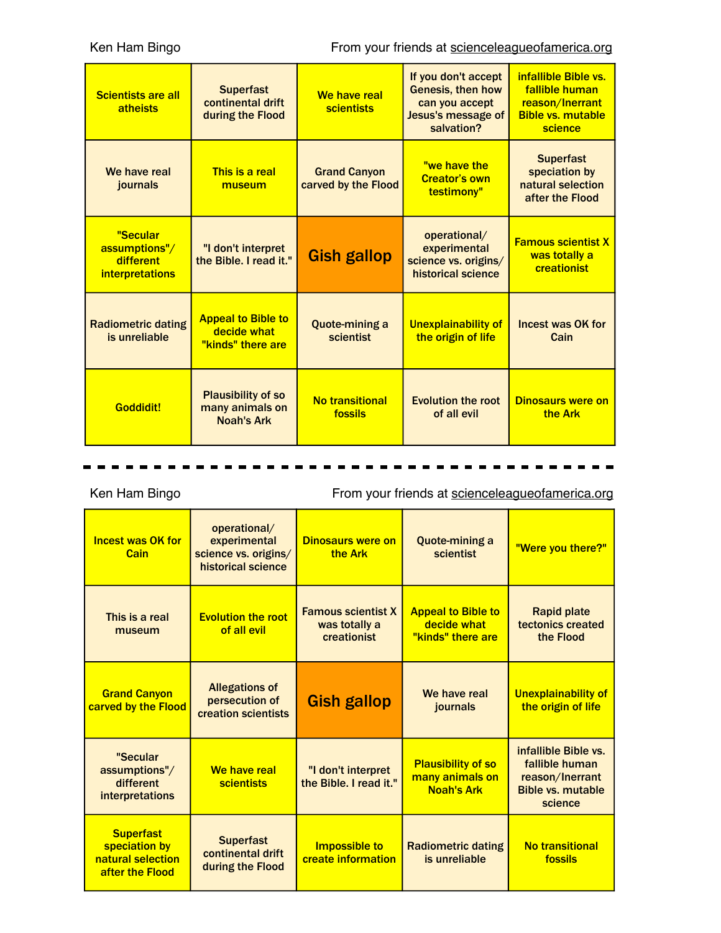Ken Ham Bingo **From your friends at scienceleagueofamerica.org** From your friends at scienceleagueofamerica.org

| <b>Scientists are all</b><br>atheists                            | <b>Superfast</b><br>continental drift<br>during the Flood         | We have real<br><b>scientists</b>          | If you don't accept<br><b>Genesis, then how</b><br>can you accept<br>Jesus's message of<br>salvation? | infallible Bible vs.<br>fallible human<br>reason/Inerrant<br><b>Bible vs. mutable</b><br>science |
|------------------------------------------------------------------|-------------------------------------------------------------------|--------------------------------------------|-------------------------------------------------------------------------------------------------------|--------------------------------------------------------------------------------------------------|
| We have real<br>journals                                         | This is a real<br>museum                                          | <b>Grand Canyon</b><br>carved by the Flood | "we have the<br><b>Creator's own</b><br>testimony"                                                    | <b>Superfast</b><br>speciation by<br>natural selection<br>after the Flood                        |
| "Secular<br>assumptions"/<br>different<br><i>interpretations</i> | "I don't interpret<br>the Bible. I read it."                      | <b>Gish gallop</b>                         | operational/<br>experimental<br>science vs. origins/<br>historical science                            | <b>Famous scientist X</b><br>was totally a<br>creationist                                        |
| <b>Radiometric dating</b><br>is unreliable                       | <b>Appeal to Bible to</b><br>decide what<br>"kinds" there are     | <b>Quote-mining a</b><br>scientist         | <b>Unexplainability of</b><br>the origin of life                                                      | <b>Incest was OK for</b><br>Cain                                                                 |
| <b>Goddidit!</b>                                                 | <b>Plausibility of so</b><br>many animals on<br><b>Noah's Ark</b> | <b>No transitional</b><br>fossils          | <b>Evolution the root</b><br>of all evil                                                              | <b>Dinosaurs were on</b><br>the Ark                                                              |

Ken Ham Bingo **From your friends at scienceleagueofamerica.org** From your friends at scienceleagueofamerica.org

| <b>Incest was OK for</b><br>Cain                                          | operational/<br>experimental<br>science vs. origins/<br>historical science | <b>Dinosaurs were on</b><br>the Ark                       | <b>Quote-mining a</b><br>scientist                                | "Were you there?"                                                                                |
|---------------------------------------------------------------------------|----------------------------------------------------------------------------|-----------------------------------------------------------|-------------------------------------------------------------------|--------------------------------------------------------------------------------------------------|
| This is a real<br>museum                                                  | <b>Evolution the root</b><br>of all evil                                   | <b>Famous scientist X</b><br>was totally a<br>creationist | <b>Appeal to Bible to</b><br>decide what<br>"kinds" there are     | <b>Rapid plate</b><br>tectonics created<br>the Flood                                             |
| <b>Grand Canyon</b><br>carved by the Flood                                | <b>Allegations of</b><br>persecution of<br>creation scientists             | <b>Gish gallop</b>                                        | We have real<br>journals                                          | Unexplainability of<br>the origin of life                                                        |
| "Secular<br>assumptions"/<br>different<br><b>interpretations</b>          | We have real<br><b>scientists</b>                                          | "I don't interpret<br>the Bible. I read it."              | <b>Plausibility of so</b><br>many animals on<br><b>Noah's Ark</b> | infallible Bible vs.<br>fallible human<br>reason/Inerrant<br><b>Bible vs. mutable</b><br>science |
| <b>Superfast</b><br>speciation by<br>natural selection<br>after the Flood | <b>Superfast</b><br>continental drift<br>during the Flood                  | <b>Impossible to</b><br>create information                | <b>Radiometric dating</b><br>is unreliable                        | <b>No transitional</b><br>fossils                                                                |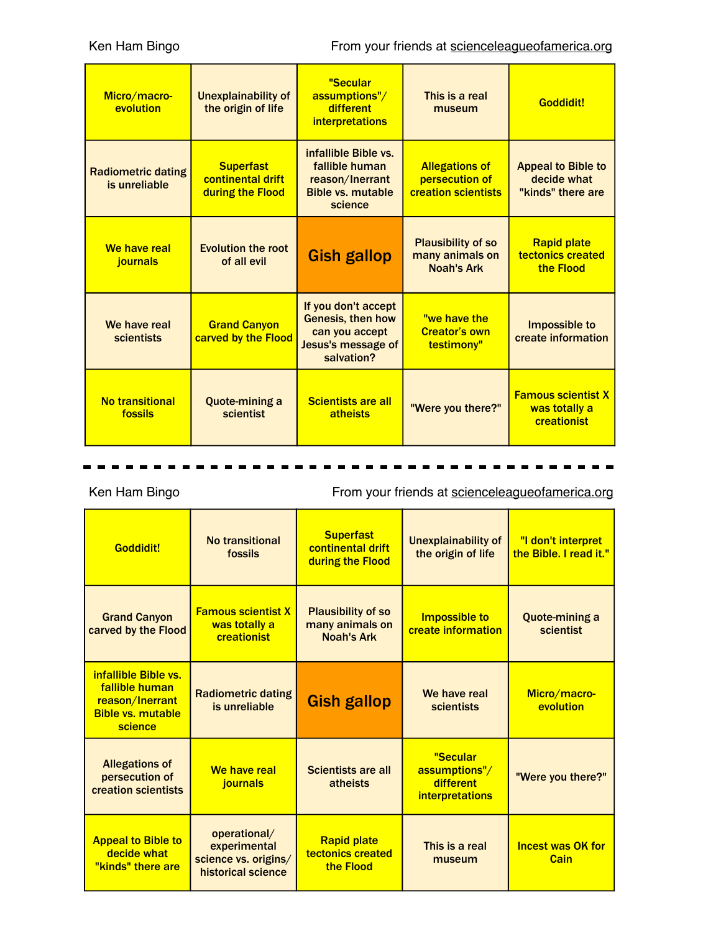| Micro/macro-<br>evolution                  | Unexplainability of<br>the origin of life                 | "Secular<br>assumptions"/<br>different<br><i>interpretations</i>                                      | This is a real<br>museum                                              | Goddidit!                                                     |
|--------------------------------------------|-----------------------------------------------------------|-------------------------------------------------------------------------------------------------------|-----------------------------------------------------------------------|---------------------------------------------------------------|
| <b>Radiometric dating</b><br>is unreliable | <b>Superfast</b><br>continental drift<br>during the Flood | infallible Bible vs.<br>fallible human<br>reason/Inerrant<br><b>Bible vs. mutable</b><br>science      | <b>Allegations of</b><br>persecution of<br><b>creation scientists</b> | <b>Appeal to Bible to</b><br>decide what<br>"kinds" there are |
| We have real<br>journals                   | <b>Evolution the root</b><br>of all evil                  | <b>Gish gallop</b>                                                                                    | <b>Plausibility of so</b><br>many animals on<br><b>Noah's Ark</b>     | <b>Rapid plate</b><br>tectonics created<br>the Flood          |
| We have real<br>scientists                 | <b>Grand Canyon</b><br>carved by the Flood                | If you don't accept<br>Genesis, then how<br>can you accept<br><b>Jesus's message of</b><br>salvation? | "we have the<br><b>Creator's own</b><br>testimony"                    | Impossible to<br>create information                           |
| <b>No transitional</b><br>fossils          | <b>Quote-mining a</b><br>scientist                        | <b>Scientists are all</b><br>atheists                                                                 | "Were you there?"                                                     | <b>Famous scientist X</b><br>was totally a<br>creationist     |

Ken Ham Bingo **From your friends** at scienceleagueofamerica.org

| <b>Goddidit!</b>                                                                                 | No transitional<br>fossils                                                 | <b>Superfast</b><br>continental drift<br>during the Flood         | <b>Unexplainability of</b><br>the origin of life                 | "I don't interpret<br>the Bible. I read it." |
|--------------------------------------------------------------------------------------------------|----------------------------------------------------------------------------|-------------------------------------------------------------------|------------------------------------------------------------------|----------------------------------------------|
| <b>Grand Canyon</b><br>carved by the Flood                                                       | <b>Famous scientist X</b><br>was totally a<br>creationist                  | <b>Plausibility of so</b><br>many animals on<br><b>Noah's Ark</b> | <b>Impossible to</b><br>create information                       | <b>Quote-mining a</b><br>scientist           |
| infallible Bible vs.<br>fallible human<br>reason/Inerrant<br><b>Bible vs. mutable</b><br>science | <b>Radiometric dating</b><br>is unreliable                                 | <b>Gish gallop</b>                                                | We have real<br>scientists                                       | Micro/macro-<br>evolution                    |
| <b>Allegations of</b><br>persecution of<br>creation scientists                                   | We have real<br>journals                                                   | <b>Scientists are all</b><br>atheists                             | "Secular<br>assumptions"/<br>different<br><i>interpretations</i> | "Were you there?"                            |
| <b>Appeal to Bible to</b><br>decide what<br>"kinds" there are                                    | operational/<br>experimental<br>science vs. origins/<br>historical science | <b>Rapid plate</b><br>tectonics created<br>the Flood              | This is a real<br>museum                                         | <b>Incest was OK for</b><br>Cain             |